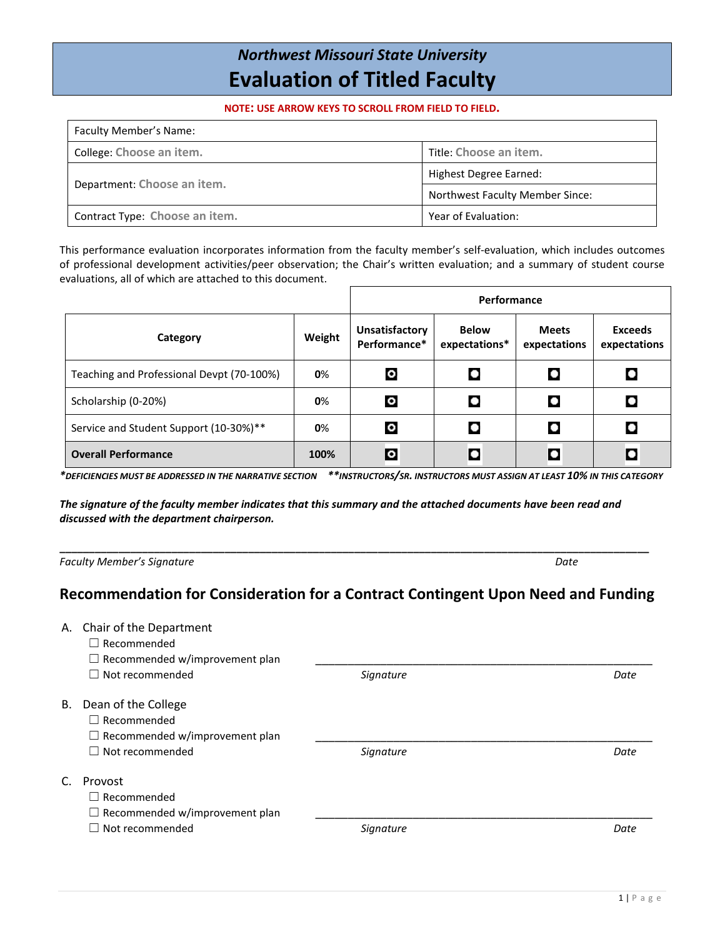## *Northwest Missouri State University* **Evaluation of Titled Faculty**

**NOTE: USE ARROW KEYS TO SCROLL FROM FIELD TO FIELD.**

| Faculty Member's Name:         |                                        |  |
|--------------------------------|----------------------------------------|--|
| College: Choose an item.       | Title: Choose an item.                 |  |
|                                | Highest Degree Earned:                 |  |
| Department: Choose an item.    | <b>Northwest Faculty Member Since:</b> |  |
| Contract Type: Choose an item. | Year of Evaluation:                    |  |

This performance evaluation incorporates information from the faculty member's self-evaluation, which includes outcomes of professional development activities/peer observation; the Chair's written evaluation; and a summary of student course evaluations, all of which are attached to this document.

|                                           |        | Performance                           |                               |                              |                                |
|-------------------------------------------|--------|---------------------------------------|-------------------------------|------------------------------|--------------------------------|
| Category                                  | Weight | <b>Unsatisfactory</b><br>Performance* | <b>Below</b><br>expectations* | <b>Meets</b><br>expectations | <b>Exceeds</b><br>expectations |
| Teaching and Professional Devpt (70-100%) | 0%     | $\circ$                               | $\bullet$                     |                              |                                |
| Scholarship (0-20%)                       | 0%     | $\circ$                               | $\bullet$                     |                              | $\bullet$                      |
| Service and Student Support (10-30%)**    | 0%     | $\bullet$                             | O                             |                              |                                |
| <b>Overall Performance</b>                | 100%   | o                                     | $\bullet$                     |                              | ۰                              |

*\*DEFICIENCIES MUST BE ADDRESSED IN THE NARRATIVE SECTION \*\*INSTRUCTORS/SR. INSTRUCTORS MUST ASSIGN AT LEAST 10% IN THIS CATEGORY*

*The signature of the faculty member indicates that this summary and the attached documents have been read and discussed with the department chairperson.*

*Faculty Member's Signature Date*

## **Recommendation for Consideration for a Contract Contingent Upon Need and Funding**

**\_\_\_\_\_\_\_\_\_\_\_\_\_\_\_\_\_\_\_\_\_\_\_\_\_\_\_\_\_\_\_\_\_\_\_\_\_\_\_\_\_\_\_\_\_\_\_\_\_\_\_\_\_\_\_\_\_\_\_\_\_\_\_\_\_\_\_\_\_\_\_\_\_\_\_\_\_\_\_\_\_\_\_\_\_\_\_\_\_\_\_\_\_\_\_\_\_\_\_\_**

|    | A. Chair of the Department<br>$\Box$ Recommended<br>$\Box$ Recommended w/improvement plan |           |      |
|----|-------------------------------------------------------------------------------------------|-----------|------|
|    | Not recommended                                                                           | Signature | Date |
| В. | Dean of the College<br>$\Box$ Recommended<br>$\Box$ Recommended w/improvement plan        |           |      |
|    | Not recommended                                                                           | Signature | Date |
| C. | Provost<br>$\Box$ Recommended<br>$\Box$ Recommended w/improvement plan                    |           |      |
|    | Not recommended                                                                           | Signature | Date |